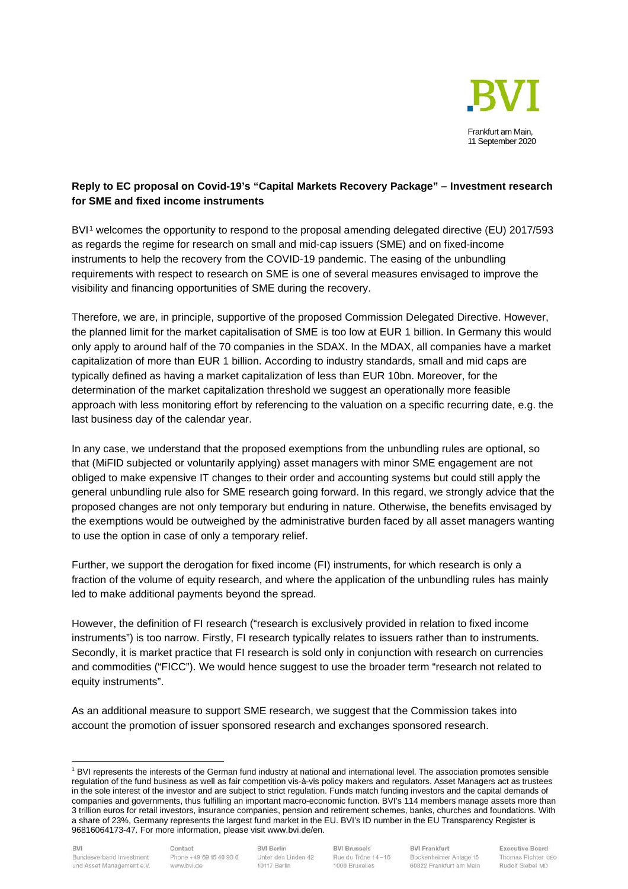

## **Reply to EC proposal on Covid-19's "Capital Markets Recovery Package" – Investment research for SME and fixed income instruments**

BVI<sup>[1](#page-0-0)</sup> welcomes the opportunity to respond to the proposal amending delegated directive (EU) 2017/593 as regards the regime for research on small and mid-cap issuers (SME) and on fixed-income instruments to help the recovery from the COVID-19 pandemic. The easing of the unbundling requirements with respect to research on SME is one of several measures envisaged to improve the visibility and financing opportunities of SME during the recovery.

Therefore, we are, in principle, supportive of the proposed Commission Delegated Directive. However, the planned limit for the market capitalisation of SME is too low at EUR 1 billion. In Germany this would only apply to around half of the 70 companies in the SDAX. In the MDAX, all companies have a market capitalization of more than EUR 1 billion. According to industry standards, small and mid caps are typically defined as having a market capitalization of less than EUR 10bn. Moreover, for the determination of the market capitalization threshold we suggest an operationally more feasible approach with less monitoring effort by referencing to the valuation on a specific recurring date, e.g. the last business day of the calendar year.

In any case, we understand that the proposed exemptions from the unbundling rules are optional, so that (MiFID subjected or voluntarily applying) asset managers with minor SME engagement are not obliged to make expensive IT changes to their order and accounting systems but could still apply the general unbundling rule also for SME research going forward. In this regard, we strongly advice that the proposed changes are not only temporary but enduring in nature. Otherwise, the benefits envisaged by the exemptions would be outweighed by the administrative burden faced by all asset managers wanting to use the option in case of only a temporary relief.

Further, we support the derogation for fixed income (FI) instruments, for which research is only a fraction of the volume of equity research, and where the application of the unbundling rules has mainly led to make additional payments beyond the spread.

However, the definition of FI research ("research is exclusively provided in relation to fixed income instruments") is too narrow. Firstly, FI research typically relates to issuers rather than to instruments. Secondly, it is market practice that FI research is sold only in conjunction with research on currencies and commodities ("FICC"). We would hence suggest to use the broader term "research not related to equity instruments".

As an additional measure to support SME research, we suggest that the Commission takes into account the promotion of issuer sponsored research and exchanges sponsored research.

<span id="page-0-0"></span><sup>1</sup> BVI represents the interests of the German fund industry at national and international level. The association promotes sensible regulation of the fund business as well as fair competition vis-à-vis policy makers and regulators. Asset Managers act as trustees in the sole interest of the investor and are subject to strict regulation. Funds match funding investors and the capital demands of companies and governments, thus fulfilling an important macro-economic function. BVI's 114 members manage assets more than 3 trillion euros for retail investors, insurance companies, pension and retirement schemes, banks, churches and foundations. With a share of 23%, Germany represents the largest fund market in the EU. BVI's ID number in the EU Transparency Register is 96816064173-47. For more information, please visit www.bvi.de/en.

**BVI Berlin** Unter den Linden 42 10117 Berlin